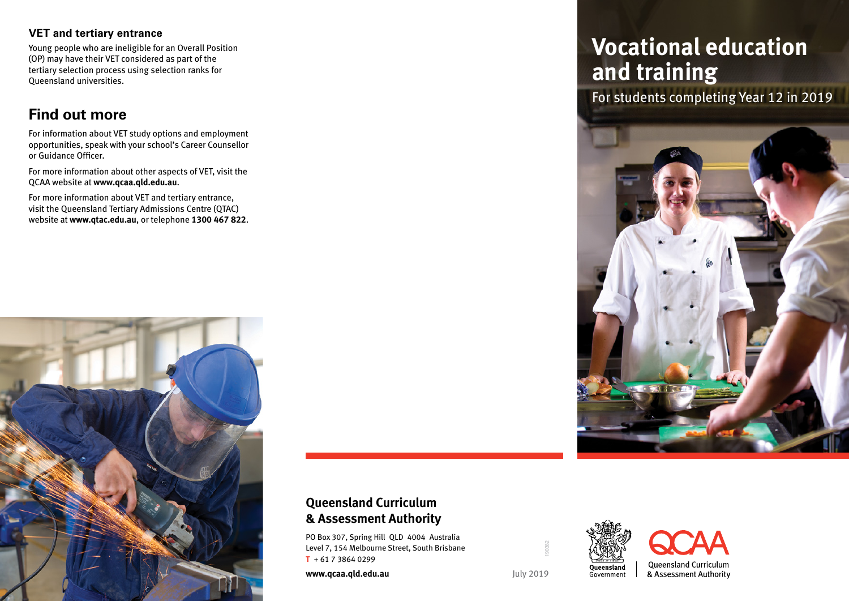#### **VET and tertiary entrance**

Young people who are ineligible for an Overall Position (OP) may have their VET considered as part of the tertiary selection process using selection ranks for Queensland universities.

## **Find out more**

For information about VET study options and employment opportunities, speak with your school's Career Counsellor or Guidance Officer.

For more information about other aspects of VET, visit the QCAA website at **www.qcaa.qld.edu.au**.

For more information about VET and tertiary entrance, visit the Queensland Tertiary Admissions Centre (QTAC) website at **www.qtac.edu.au**, or telephone **1300 467 822**.



### **Queensland Curriculum & Assessment Authority**

PO Box 307, Spring Hill QLD 4004 Australia Level 7, 154 Melbourne Street, South Brisbane **T** + 61 7 3864 0299

**www.qcaa.qld.edu.au** July 2019

190382

# **Vocational education and training**

For students completing Year 12 in 2019







Queensland Curriculum & Assessment Authority